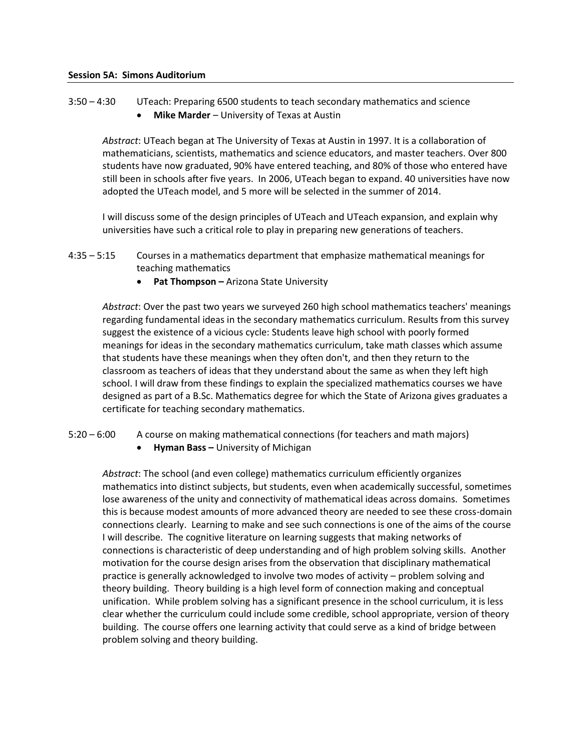3:50 – 4:30 UTeach: Preparing 6500 students to teach secondary mathematics and science **Mike Marder** – University of Texas at Austin

*Abstract*: UTeach began at The University of Texas at Austin in 1997. It is a collaboration of mathematicians, scientists, mathematics and science educators, and master teachers. Over 800 students have now graduated, 90% have entered teaching, and 80% of those who entered have still been in schools after five years. In 2006, UTeach began to expand. 40 universities have now adopted the UTeach model, and 5 more will be selected in the summer of 2014.

I will discuss some of the design principles of UTeach and UTeach expansion, and explain why universities have such a critical role to play in preparing new generations of teachers.

- 4:35 5:15 Courses in a mathematics department that emphasize mathematical meanings for teaching mathematics
	- **Pat Thompson –** Arizona State University

*Abstract*: Over the past two years we surveyed 260 high school mathematics teachers' meanings regarding fundamental ideas in the secondary mathematics curriculum. Results from this survey suggest the existence of a vicious cycle: Students leave high school with poorly formed meanings for ideas in the secondary mathematics curriculum, take math classes which assume that students have these meanings when they often don't, and then they return to the classroom as teachers of ideas that they understand about the same as when they left high school. I will draw from these findings to explain the specialized mathematics courses we have designed as part of a B.Sc. Mathematics degree for which the State of Arizona gives graduates a certificate for teaching secondary mathematics.

- 5:20 6:00 A course on making mathematical connections (for teachers and math majors)
	- **Hyman Bass –** University of Michigan

*Abstract*: The school (and even college) mathematics curriculum efficiently organizes mathematics into distinct subjects, but students, even when academically successful, sometimes lose awareness of the unity and connectivity of mathematical ideas across domains. Sometimes this is because modest amounts of more advanced theory are needed to see these cross-domain connections clearly. Learning to make and see such connections is one of the aims of the course I will describe. The cognitive literature on learning suggests that making networks of connections is characteristic of deep understanding and of high problem solving skills. Another motivation for the course design arises from the observation that disciplinary mathematical practice is generally acknowledged to involve two modes of activity – problem solving and theory building. Theory building is a high level form of connection making and conceptual unification. While problem solving has a significant presence in the school curriculum, it is less clear whether the curriculum could include some credible, school appropriate, version of theory building. The course offers one learning activity that could serve as a kind of bridge between problem solving and theory building.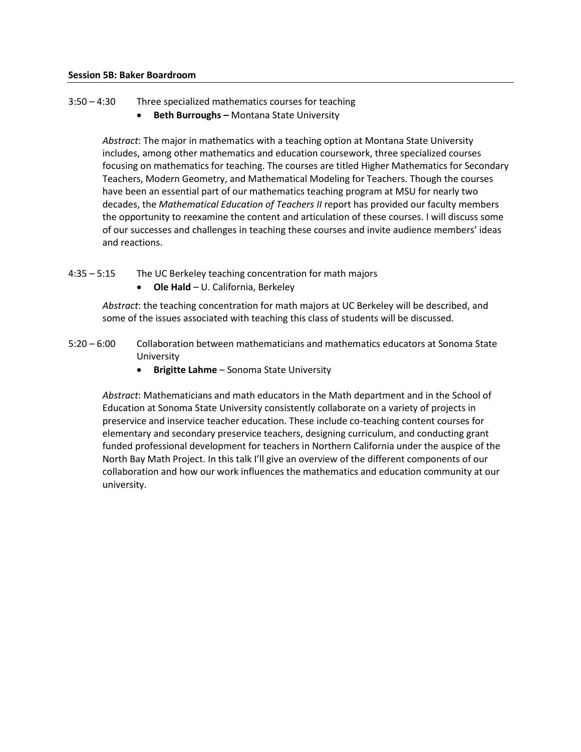- 3:50 4:30 Three specialized mathematics courses for teaching
	- **Beth Burroughs –** Montana State University

*Abstract*: The major in mathematics with a teaching option at Montana State University includes, among other mathematics and education coursework, three specialized courses focusing on mathematics for teaching. The courses are titled Higher Mathematics for Secondary Teachers, Modern Geometry, and Mathematical Modeling for Teachers. Though the courses have been an essential part of our mathematics teaching program at MSU for nearly two decades, the *Mathematical Education of Teachers II* report has provided our faculty members the opportunity to reexamine the content and articulation of these courses. I will discuss some of our successes and challenges in teaching these courses and invite audience members' ideas and reactions.

- 4:35 5:15 The UC Berkeley teaching concentration for math majors
	- **Ole Hald** U. California, Berkeley

*Abstract*: the teaching concentration for math majors at UC Berkeley will be described, and some of the issues associated with teaching this class of students will be discussed.

- 5:20 6:00 Collaboration between mathematicians and mathematics educators at Sonoma State University
	- **Brigitte Lahme** Sonoma State University

*Abstract*: Mathematicians and math educators in the Math department and in the School of Education at Sonoma State University consistently collaborate on a variety of projects in preservice and inservice teacher education. These include co-teaching content courses for elementary and secondary preservice teachers, designing curriculum, and conducting grant funded professional development for teachers in Northern California under the auspice of the North Bay Math Project. In this talk I'll give an overview of the different components of our collaboration and how our work influences the mathematics and education community at our university.